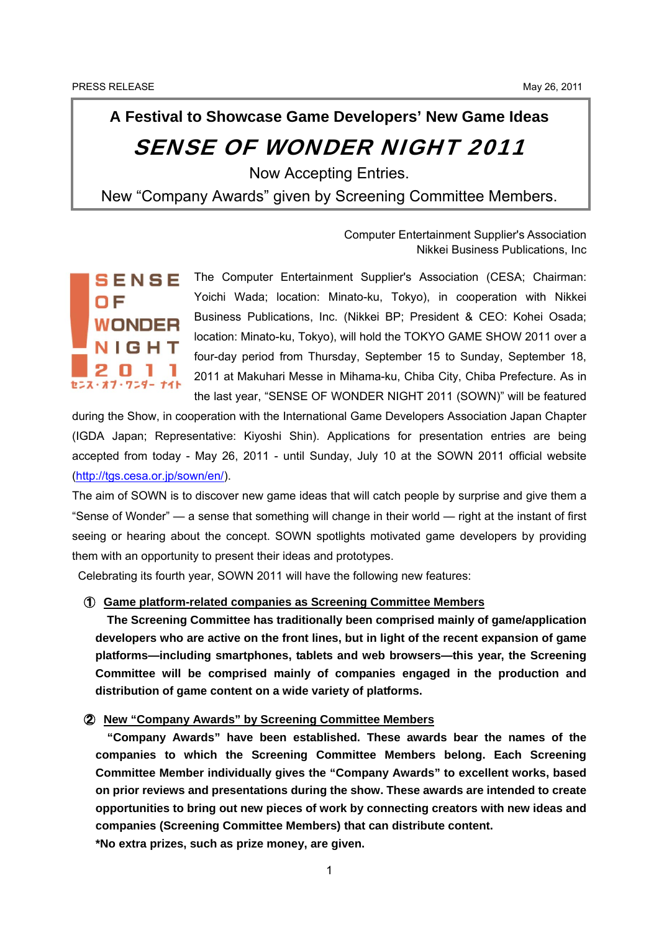# **A Festival to Showcase Game Developers' New Game Ideas** SENSE OF WONDER NIGHT 2011

ł

Now Accepting Entries.

New "Company Awards" given by Screening Committee Members.

Computer Entertainment Supplier's Association Nikkei Business Publications, Inc



The Computer Entertainment Supplier's Association (CESA; Chairman: Yoichi Wada; location: Minato-ku, Tokyo), in cooperation with Nikkei Business Publications, Inc. (Nikkei BP; President & CEO: Kohei Osada; location: Minato-ku, Tokyo), will hold the TOKYO GAME SHOW 2011 over a four-day period from Thursday, September 15 to Sunday, September 18, 2011 at Makuhari Messe in Mihama-ku, Chiba City, Chiba Prefecture. As in the last year, "SENSE OF WONDER NIGHT 2011 (SOWN)" will be featured

during the Show, in cooperation with the International Game Developers Association Japan Chapter (IGDA Japan; Representative: Kiyoshi Shin). Applications for presentation entries are being accepted from today - May 26, 2011 - until Sunday, July 10 at the SOWN 2011 official website (<http://tgs.cesa.or.jp/sown/en/>).

The aim of SOWN is to discover new game ideas that will catch people by surprise and give them a "Sense of Wonder" — a sense that something will change in their world — right at the instant of first seeing or hearing about the concept. SOWN spotlights motivated game developers by providing them with an opportunity to present their ideas and prototypes.

Celebrating its fourth year, SOWN 2011 will have the following new features:

#### ① **Game platform-related companies as Screening Committee Members**

**The Screening Committee has traditionally been comprised mainly of game/application developers who are active on the front lines, but in light of the recent expansion of game platforms—including smartphones, tablets and web browsers—this year, the Screening Committee will be comprised mainly of companies engaged in the production and distribution of game content on a wide variety of platforms.**

② **New "Company Awards" by Screening Committee Members**

**"Company Awards" have been established. These awards bear the names of the companies to which the Screening Committee Members belong. Each Screening Committee Member individually gives the "Company Awards" to excellent works, based on prior reviews and presentations during the show. These awards are intended to create opportunities to bring out new pieces of work by connecting creators with new ideas and companies (Screening Committee Members) that can distribute content.** 

**\*No extra prizes, such as prize money, are given.**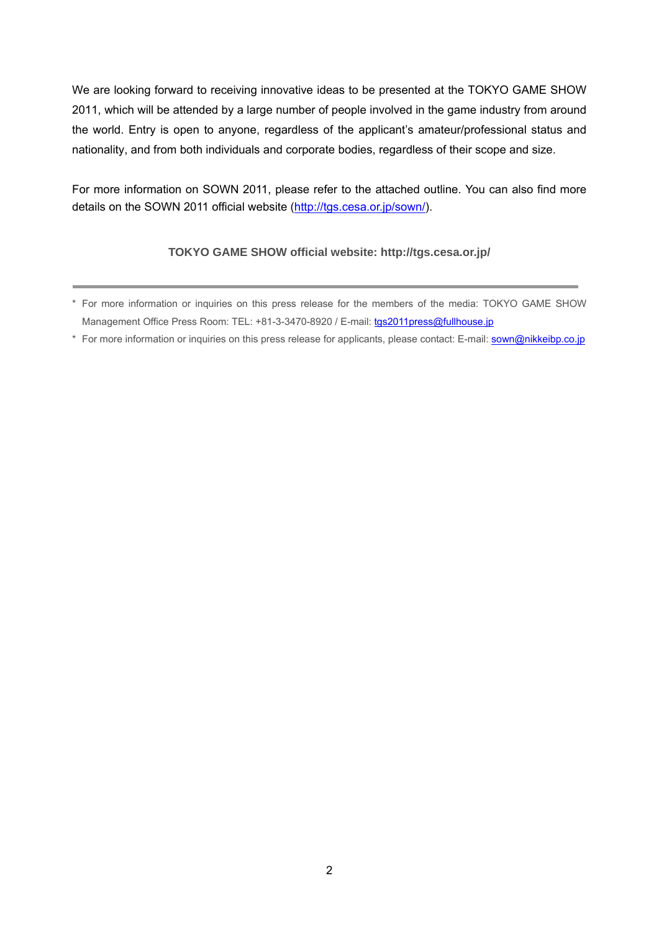We are looking forward to receiving innovative ideas to be presented at the TOKYO GAME SHOW 2011, which will be attended by a large number of people involved in the game industry from around the world. Entry is open to anyone, regardless of the applicant's amateur/professional status and nationality, and from both individuals and corporate bodies, regardless of their scope and size.

For more information on SOWN 2011, please refer to the attached outline. You can also find more details on the SOWN 2011 official website [\(http://tgs.cesa.or.jp/sown/](http://tgs.cesa.or.jp/sown/)).

#### **TOKYO GAME SHOW official website: http://tgs.cesa.or.jp/**

\* For more information or inquiries on this press release for applicants, please contact: E-mail: [sown@nikkeibp.co.jp](mailto:sown@nikkeibp.co.jp)

<sup>\*</sup> For more information or inquiries on this press release for the members of the media: TOKYO GAME SHOW Management Office Press Room: TEL: +81-3-3470-8920 / E-mail: [tgs2011press@fullhouse.jp](mailto:tgs2010press@fullhouse.jp)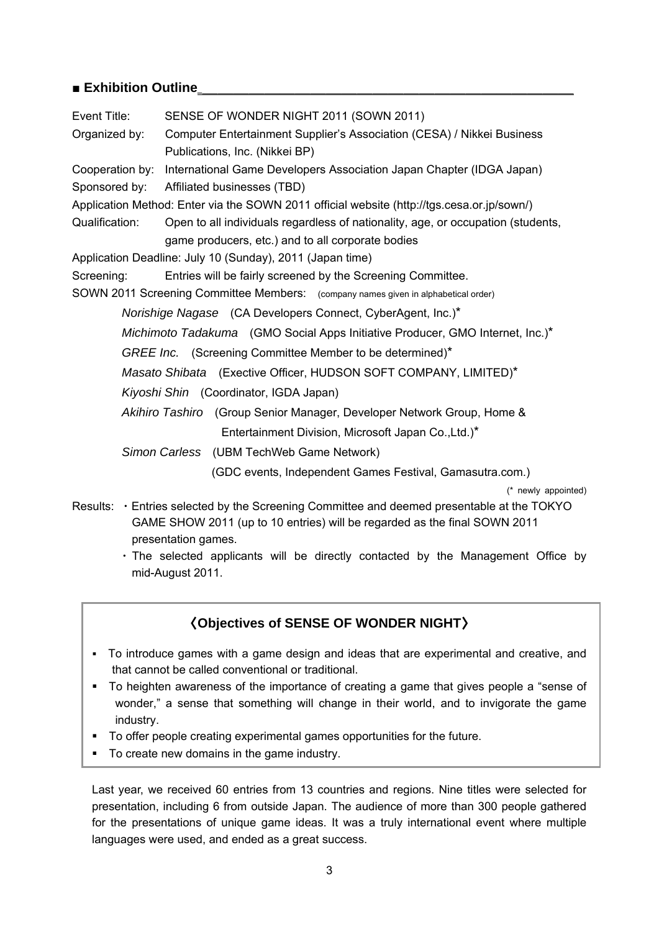## ■ **Exhibition Outline**\_\_\_\_\_\_\_\_\_\_\_\_\_\_\_\_\_\_\_\_\_\_\_\_\_

| Event Title:   | SENSE OF WONDER NIGHT 2011 (SOWN 2011)                                                     |
|----------------|--------------------------------------------------------------------------------------------|
| Organized by:  | Computer Entertainment Supplier's Association (CESA) / Nikkei Business                     |
|                | Publications, Inc. (Nikkei BP)                                                             |
|                | Cooperation by: International Game Developers Association Japan Chapter (IDGA Japan)       |
|                | Sponsored by: Affiliated businesses (TBD)                                                  |
|                | Application Method: Enter via the SOWN 2011 official website (http://tgs.cesa.or.jp/sown/) |
| Qualification: | Open to all individuals regardless of nationality, age, or occupation (students,           |
|                | game producers, etc.) and to all corporate bodies                                          |
|                | Application Deadline: July 10 (Sunday), 2011 (Japan time)                                  |
| Screening:     | Entries will be fairly screened by the Screening Committee.                                |
|                | SOWN 2011 Screening Committee Members: (company names given in alphabetical order)         |
|                | Norishige Nagase (CA Developers Connect, CyberAgent, Inc.)*                                |
|                | <i>Michimoto Tadakuma</i> (GMO Social Apps Initiative Producer, GMO Internet, Inc.)*       |
|                | GREE Inc. (Screening Committee Member to be determined)*                                   |
|                | Masato Shibata (Exective Officer, HUDSON SOFT COMPANY, LIMITED)*                           |
|                | Kiyoshi Shin (Coordinator, IGDA Japan)                                                     |
|                | Akihiro Tashiro (Group Senior Manager, Developer Network Group, Home &                     |
|                | Entertainment Division, Microsoft Japan Co., Ltd.)*                                        |
|                | Simon Carless (UBM TechWeb Game Network)                                                   |
|                | (GDC events, Independent Games Festival, Gamasutra.com.)                                   |
|                | (* newly appointed)                                                                        |

- Results: ・Entries selected by the Screening Committee and deemed presentable at the TOKYO GAME SHOW 2011 (up to 10 entries) will be regarded as the final SOWN 2011 presentation games.
	- ・The selected applicants will be directly contacted by the Management Office by mid-August 2011.

## 〈**Objectives of SENSE OF WONDER NIGHT**〉

- To introduce games with a game design and ideas that are experimental and creative, and that cannot be called conventional or traditional.
- To heighten awareness of the importance of creating a game that gives people a "sense of wonder," a sense that something will change in their world, and to invigorate the game industry.
- To offer people creating experimental games opportunities for the future.
- To create new domains in the game industry.

Last year, we received 60 entries from 13 countries and regions. Nine titles were selected for presentation, including 6 from outside Japan. The audience of more than 300 people gathered for the presentations of unique game ideas. It was a truly international event where multiple languages were used, and ended as a great success.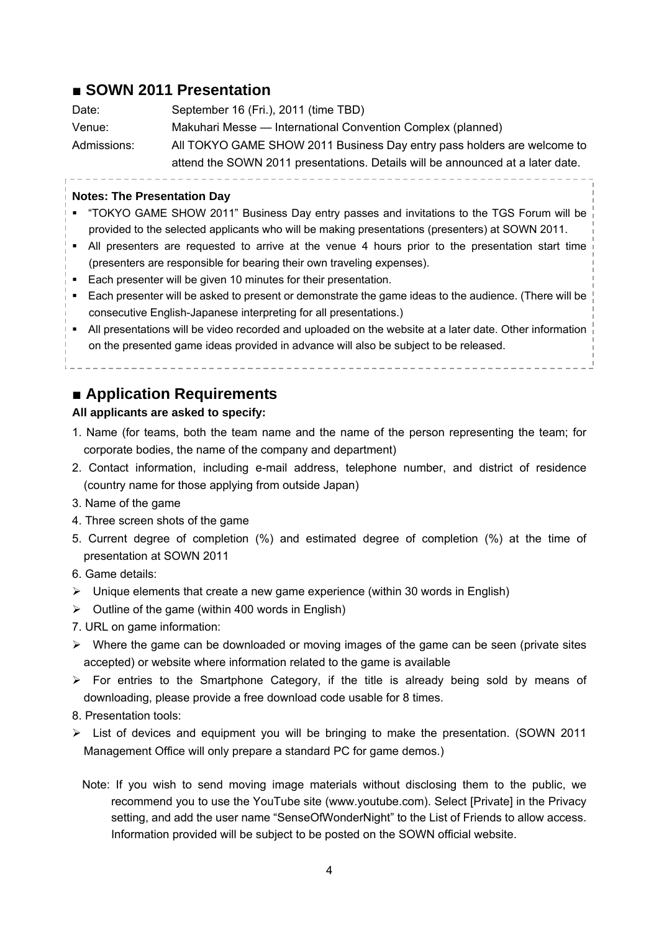## ■ **SOWN 2011 Presentation**

| Date:       | September 16 (Fri.), 2011 (time TBD)                                           |
|-------------|--------------------------------------------------------------------------------|
| Venue:      | Makuhari Messe — International Convention Complex (planned)                    |
| Admissions: | All TOKYO GAME SHOW 2011 Business Day entry pass holders are welcome to        |
|             | attend the SOWN 2011 presentations. Details will be announced at a later date. |

------------------

#### **Notes: The Presentation Day**

- "TOKYO GAME SHOW 2011" Business Day entry passes and invitations to the TGS Forum will be provided to the selected applicants who will be making presentations (presenters) at SOWN 2011.
- All presenters are requested to arrive at the venue 4 hours prior to the presentation start time (presenters are responsible for bearing their own traveling expenses).
- **Each presenter will be given 10 minutes for their presentation.**
- Each presenter will be asked to present or demonstrate the game ideas to the audience. (There will be consecutive English-Japanese interpreting for all presentations.)
- All presentations will be video recorded and uploaded on the website at a later date. Other information on the presented game ideas provided in advance will also be subject to be released.

# ■ **Application Requirements**

#### **All applicants are asked to specify:**

- 1. Name (for teams, both the team name and the name of the person representing the team; for corporate bodies, the name of the company and department)
- 2. Contact information, including e-mail address, telephone number, and district of residence (country name for those applying from outside Japan)
- 3. Name of the game
- 4. Three screen shots of the game
- 5. Current degree of completion (%) and estimated degree of completion (%) at the time of presentation at SOWN 2011
- 6. Game details:
- $\triangleright$  Unique elements that create a new game experience (within 30 words in English)
- $\triangleright$  Outline of the game (within 400 words in English)
- 7. URL on game information:
- $\triangleright$  Where the game can be downloaded or moving images of the game can be seen (private sites accepted) or website where information related to the game is available
- $\triangleright$  For entries to the Smartphone Category, if the title is already being sold by means of downloading, please provide a free download code usable for 8 times.
- 8. Presentation tools:
- ¾ List of devices and equipment you will be bringing to make the presentation. (SOWN 2011 Management Office will only prepare a standard PC for game demos.)
	- Note: If you wish to send moving image materials without disclosing them to the public, we recommend you to use the YouTube site (www.youtube.com). Select [Private] in the Privacy setting, and add the user name "SenseOfWonderNight" to the List of Friends to allow access. Information provided will be subject to be posted on the SOWN official website.